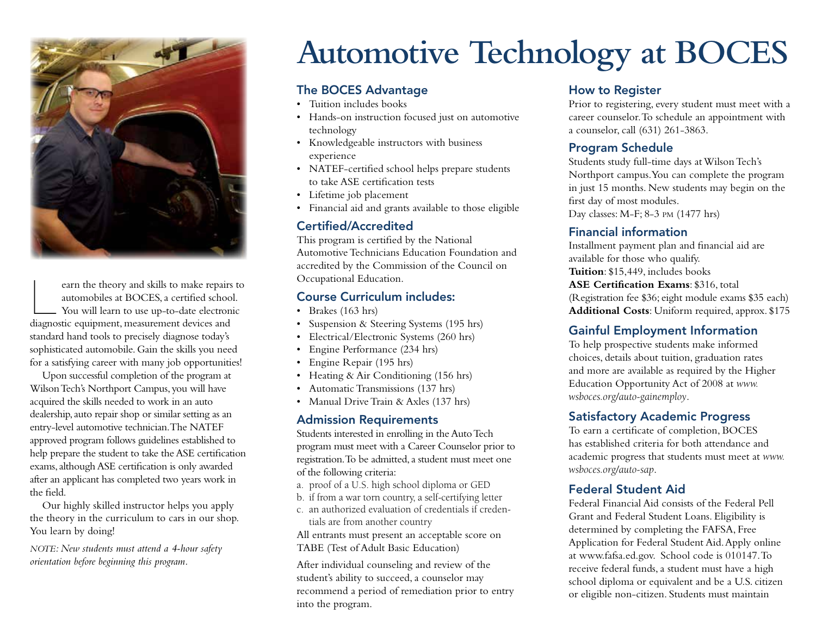

earn the theory and skills to make repairs to automobiles at BOCES, a certified school. You will learn to use up-to-date electronic diagnostic equipment, measurement devices and standard hand tools to precisely diagnose today's sophisticated automobile. Gain the skills you need for a satisfying career with many job opportunities!

Upon successful completion of the program at Wilson Tech's Northport Campus, you will have acquired the skills needed to work in an auto dealership, auto repair shop or similar setting as an entry-level automotive technician. The NATEF approved program follows guidelines established to help prepare the student to take the ASE certification exams, although ASE certification is only awarded after an applicant has completed two years work in the field.

Our highly skilled instructor helps you apply the theory in the curriculum to cars in our shop. You learn by doing!

*NOTE: New students must attend a 4-hour safety orientation before beginning this program.*

# **Automotive Technology at BOCES**

#### The BOCES Advantage

- Tuition includes books
- Hands-on instruction focused just on automotive technology
- Knowledgeable instructors with business experience
- NATEF-certified school helps prepare students to take ASE certification tests
- Lifetime job placement
- Financial aid and grants available to those eligible

#### Certified/Accredited

This program is certified by the National Automotive Technicians Education Foundation and accredited by the Commission of the Council on Occupational Education.

#### Course Curriculum includes:

- Brakes (163 hrs)
- Suspension & Steering Systems (195 hrs)
- Electrical/Electronic Systems (260 hrs)
- Engine Performance (234 hrs)
- Engine Repair (195 hrs)
- Heating & Air Conditioning (156 hrs)
- Automatic Transmissions (137 hrs)
- Manual Drive Train & Axles (137 hrs)

#### Admission Requirements

Students interested in enrolling in the Auto Tech program must meet with a Career Counselor prior to registration. To be admitted, a student must meet one of the following criteria:

- a. proof of a U.S. high school diploma or GED
- b. if from a war torn country, a self-certifying letter
- c. an authorized evaluation of credentials if credentials are from another country

All entrants must present an acceptable score on TABE (Test of Adult Basic Education)

After individual counseling and review of the student's ability to succeed, a counselor may recommend a period of remediation prior to entry into the program.

## How to Register

Prior to registering, every student must meet with a career counselor. To schedule an appointment with a counselor, call (631) 261-3863.

## Program Schedule

Students study full-time days at Wilson Tech's Northport campus. You can complete the program in just 15 months. New students may begin on the first day of most modules. Day classes: M-F; 8-3 pm (1477 hrs)

#### Financial information

Installment payment plan and financial aid are available for those who qualify. **Tuition**: \$15,449, includes books **ASE Certification Exams**: \$316, total (Registration fee \$36; eight module exams \$35 each) **Additional Costs**: Uniform required, approx. \$175

## Gainful Employment Information

To help prospective students make informed choices, details about tuition, graduation rates and more are available as required by the Higher Education Opportunity Act of 2008 at *www. wsboces.org/auto-gainemploy*.

## Satisfactory Academic Progress

To earn a certificate of completion, BOCES has established criteria for both attendance and academic progress that students must meet at *www. wsboces.org/auto-sap*.

## Federal Student Aid

Federal Financial Aid consists of the Federal Pell Grant and Federal Student Loans. Eligibility is determined by completing the FAFSA, Free Application for Federal Student Aid. Apply online at www.fafsa.ed.gov. School code is 010147. To receive federal funds, a student must have a high school diploma or equivalent and be a U.S. citizen or eligible non-citizen. Students must maintain